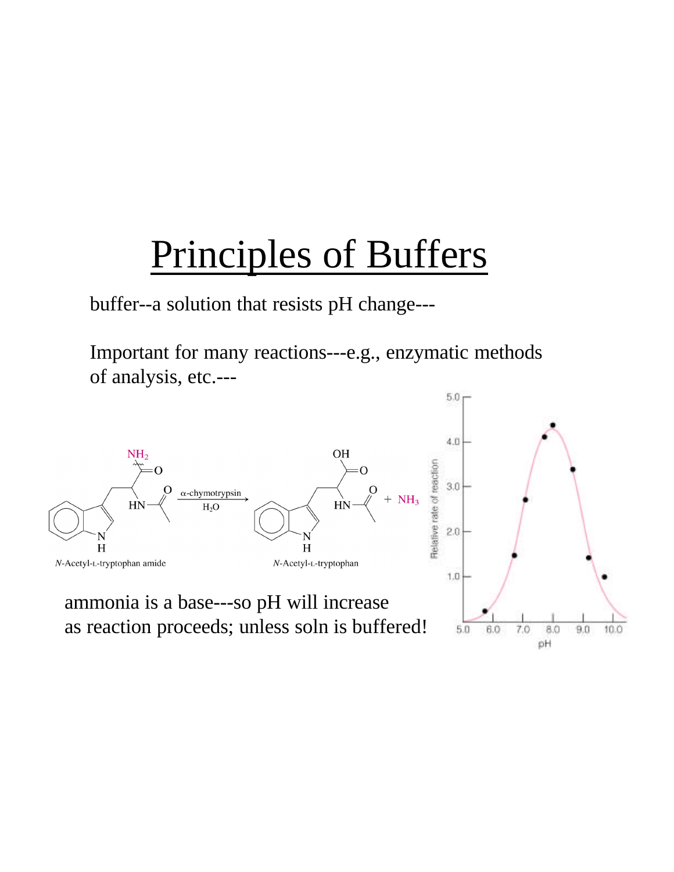## Principles of Buffers

buffer--a solution that resists pH change---

Important for many reactions---e.g., enzymatic methods of analysis, etc.---

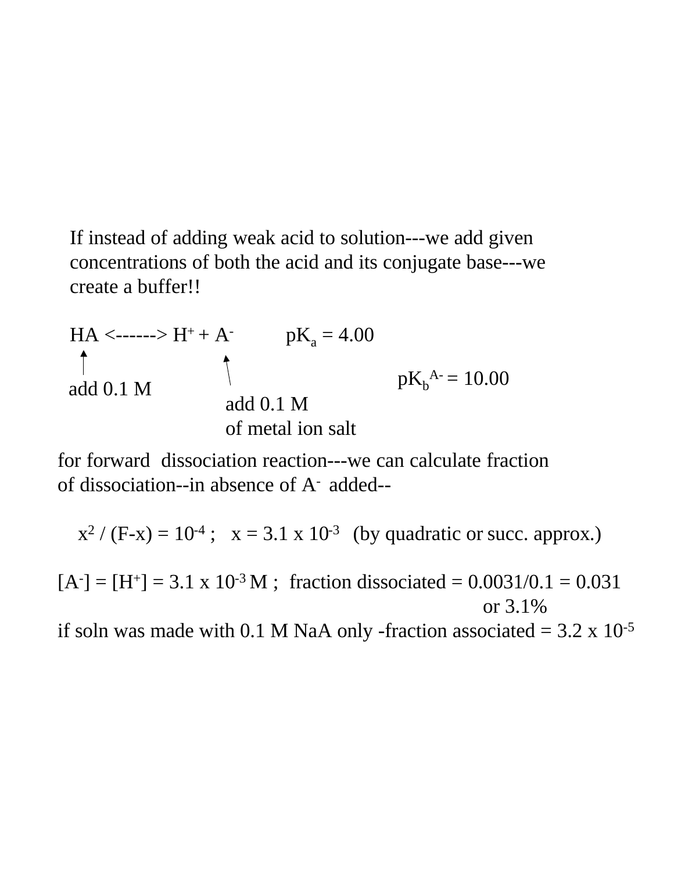If instead of adding weak acid to solution---we add given concentrations of both the acid and its conjugate base---we create a buffer!!

$$
\text{HA} < \text{---} > \text{H}^+ + \text{A} \qquad \text{pK}_a = 4.00
$$
\n
$$
\uparrow \qquad \qquad \uparrow \qquad \qquad \text{pK}_b^{\text{A-}} = 10.00
$$
\n
$$
\text{add } 0.1 \text{ M} \qquad \qquad \text{of metal ion salt}
$$

for forward dissociation reaction---we can calculate fraction of dissociation--in absence of A- added--

 $x^{2}$  / (F-x) = 10<sup>-4</sup>;  $x = 3.1 x 10^{-3}$  (by quadratic or succ. approx.)

 $[A<sup>-</sup>] = [H<sup>+</sup>] = 3.1 \times 10<sup>-3</sup> M$ ; fraction dissociated = 0.0031/0.1 = 0.031 or 3.1%

if soln was made with 0.1 M NaA only -fraction associated =  $3.2 \times 10^{-5}$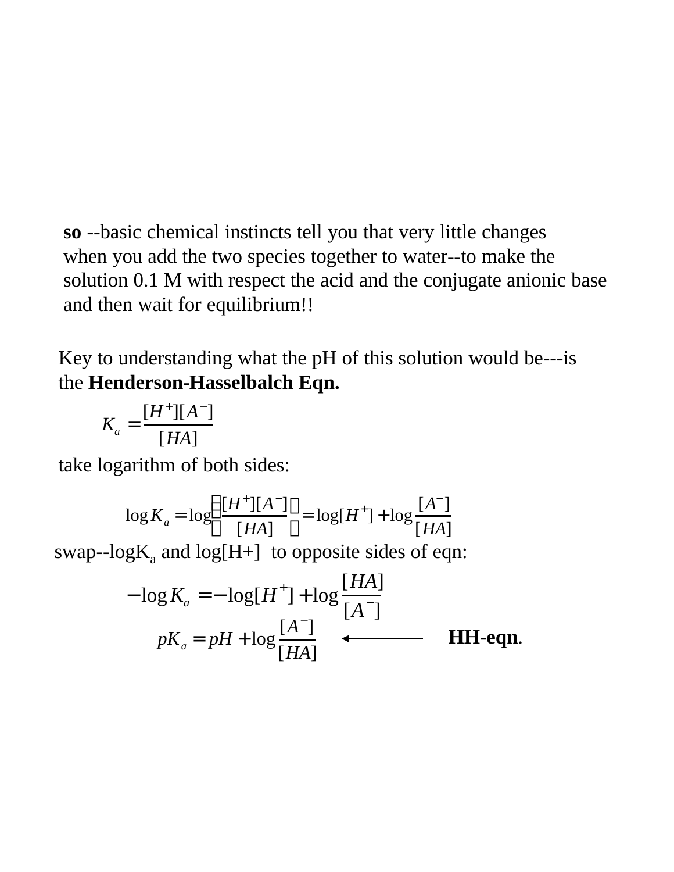**so** --basic chemical instincts tell you that very little changes when you add the two species together to water--to make the solution 0.1 M with respect the acid and the conjugate anionic base and then wait for equilibrium!!

Key to understanding what the pH of this solution would be---is the **Henderson-Hasselbalch Eqn.**

$$
K_a = \frac{[H^+][A^-]}{[HA]}
$$

take logarithm of both sides:

$$
\log K_a = \log \frac{[H^+][A^-]}{[HA]} = \log[H^+] + \log \frac{[A^-]}{[HA]}
$$
  
swap--logK<sub>a</sub> and log[H+] to opposite sides of eqn:  

$$
-\log K_a = -\log[H^+] + \log \frac{[HA]}{[A^-]}
$$

$$
pK_a = pH + \log \frac{[A^-]}{[HA]}
$$
 **HH-equ.**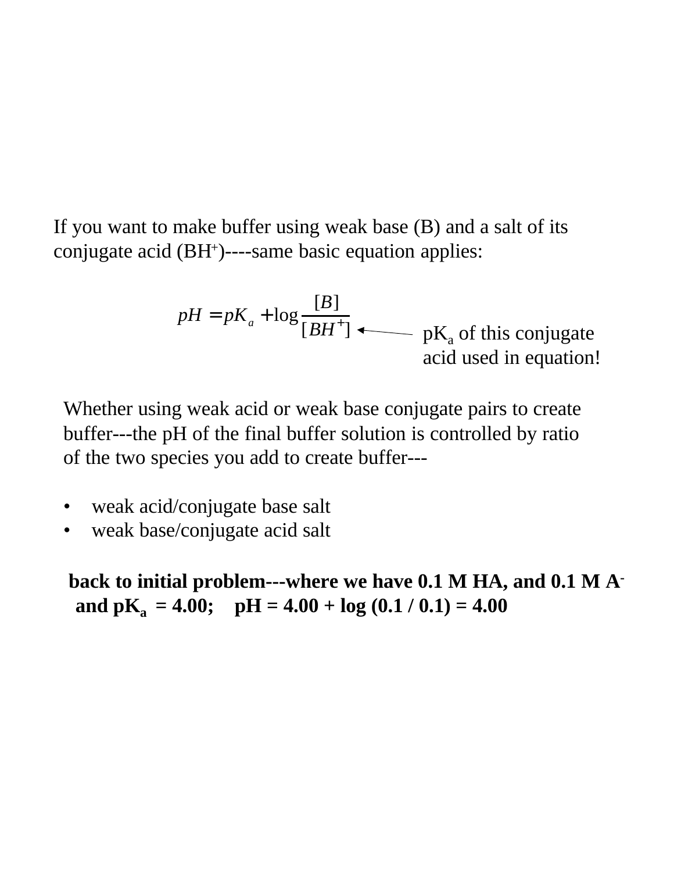If you want to make buffer using weak base (B) and a salt of its conjugate acid (BH<sup>+</sup> )----same basic equation applies:

$$
pH = pK_a + \log \frac{[B]}{[BH^+]}
$$
 
$$
\longrightarrow
$$
 pK<sub>a</sub> of this conjugate  
acid used in equation!

Whether using weak acid or weak base conjugate pairs to create buffer---the pH of the final buffer solution is controlled by ratio of the two species you add to create buffer---

- weak acid/conjugate base salt
- weak base/conjugate acid salt

## **back to initial problem---where we have 0.1 M HA, and 0.1 M A and**  $pK_a = 4.00$ **;**  $pH = 4.00 + log(0.1 / 0.1) = 4.00$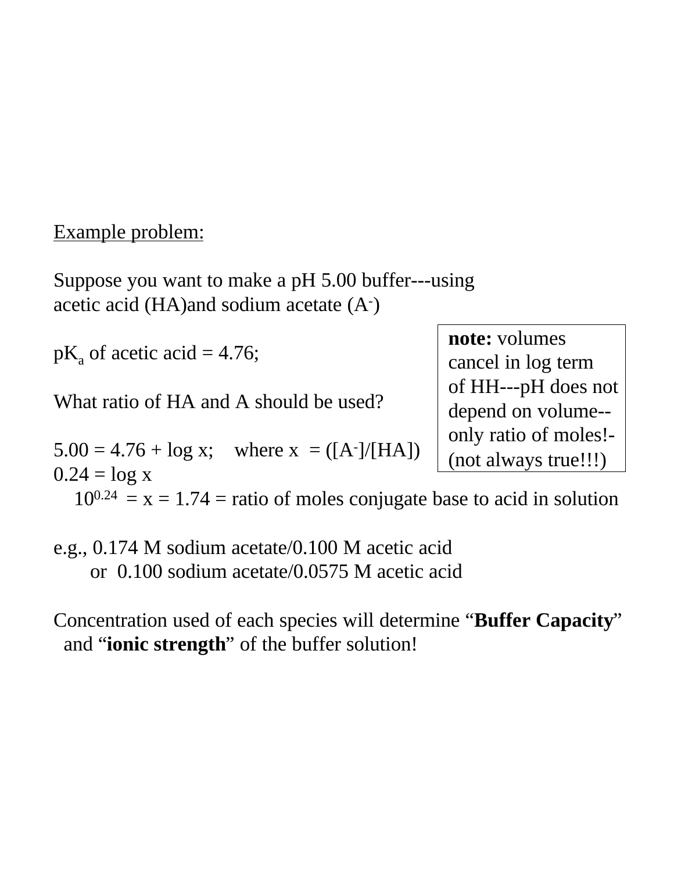## Example problem:

Suppose you want to make a pH 5.00 buffer---using acetic acid (HA)and sodium acetate (A- )

 $pK_a$  of acetic acid = 4.76;

What ratio of HA and A should be used?

**note:** volumes cancel in log term of HH---pH does not depend on volume- only ratio of moles!- (not always true!!!)

 $5.00 = 4.76 + \log x$ ; where  $x = ([A<sup>-</sup>]/[HA])$  $0.24 = \log x$ 

 $10^{0.24}$  = x = 1.74 = ratio of moles conjugate base to acid in solution

e.g., 0.174 M sodium acetate/0.100 M acetic acid or 0.100 sodium acetate/0.0575 M acetic acid

Concentration used of each species will determine "**Buffer Capacity**" and "**ionic strength**" of the buffer solution!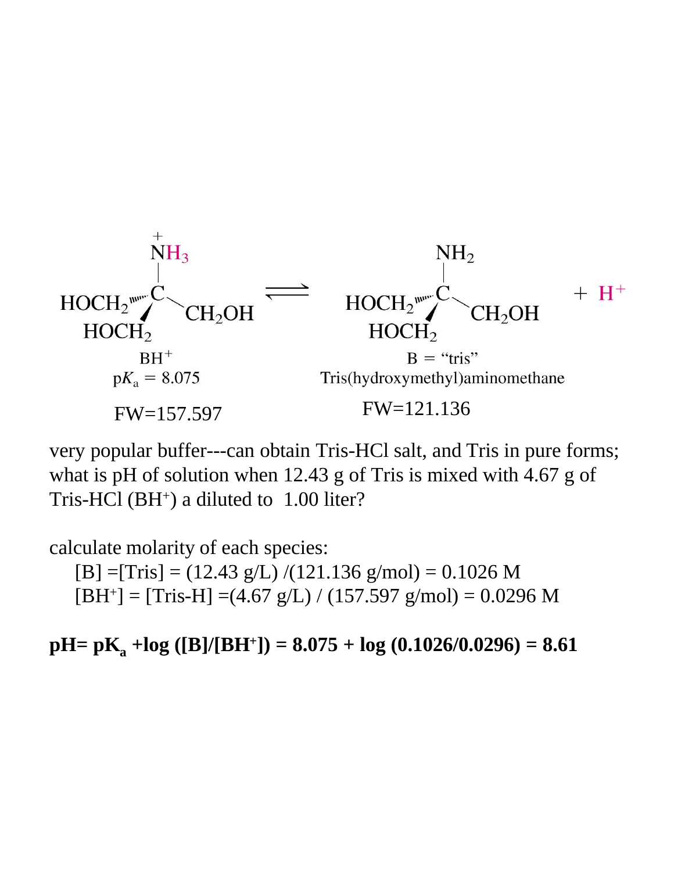

very popular buffer---can obtain Tris-HCl salt, and Tris in pure forms; what is pH of solution when 12.43 g of Tris is mixed with 4.67 g of Tris-HCl (BH<sup>+</sup> ) a diluted to 1.00 liter?

calculate molarity of each species:  $[B] = [Tris] = (12.43 \text{ g/L}) / (121.136 \text{ g/mol}) = 0.1026 \text{ M}$  $[BH^+] = [Tris-H] = (4.67 \text{ g/L}) / (157.597 \text{ g/mol}) = 0.0296 \text{ M}$ 

**pH= pK<sup>a</sup> +log ([B]/[BH<sup>+</sup> ]) = 8.075 + log (0.1026/0.0296) = 8.61**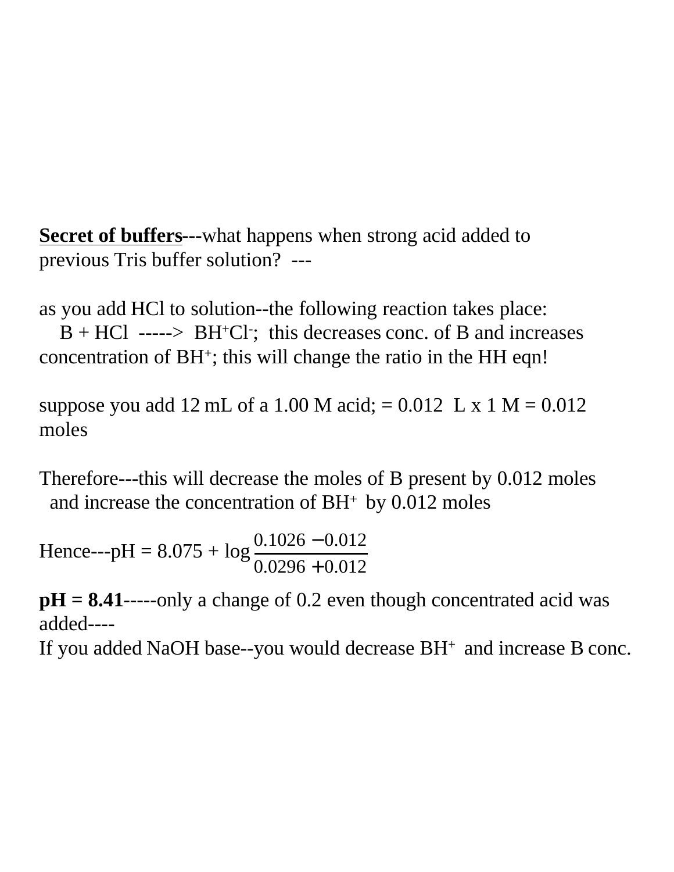**Secret of buffers**---what happens when strong acid added to previous Tris buffer solution? ---

as you add HCl to solution--the following reaction takes place:

 $B + HC1$  ----->  $BH^+Cl^-$ ; this decreases conc. of B and increases concentration of BH<sup>+</sup>; this will change the ratio in the HH eqn!

suppose you add 12 mL of a 1.00 M acid;  $= 0.012$  L x 1 M  $= 0.012$ moles

Therefore---this will decrease the moles of B present by 0.012 moles and increase the concentration of  $BH<sup>+</sup>$  by 0.012 moles

Hence--- $pH = 8.075 + log$ 0.1026 −0.012  $0.0296 + 0.012$ 

 $pH = 8.41$ -----only a change of 0.2 even though concentrated acid was added----

If you added NaOH base--you would decrease  $BH<sup>+</sup>$  and increase B conc.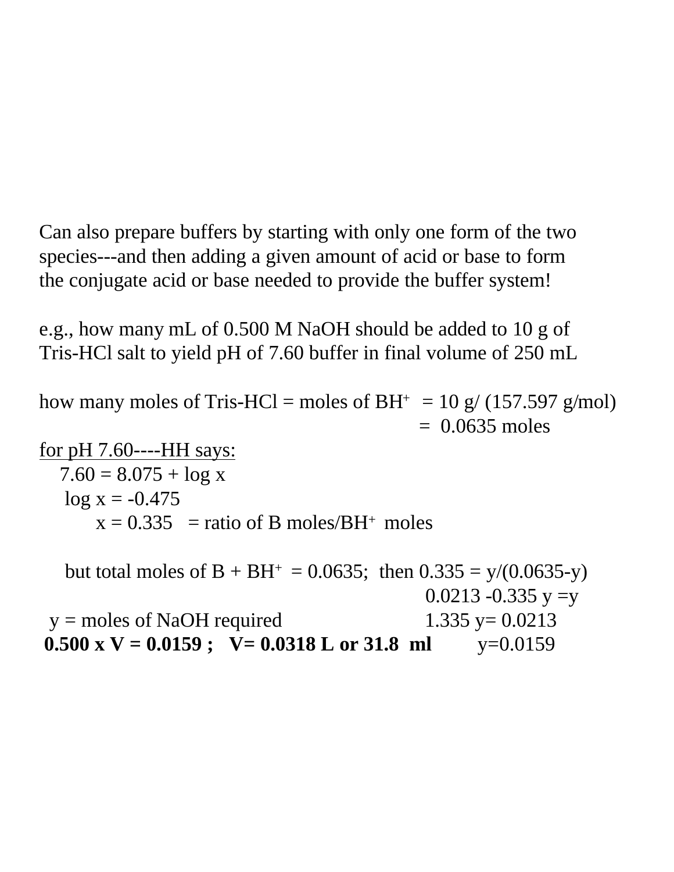Can also prepare buffers by starting with only one form of the two species---and then adding a given amount of acid or base to form the conjugate acid or base needed to provide the buffer system!

e.g., how many mL of 0.500 M NaOH should be added to 10 g of Tris-HCl salt to yield pH of 7.60 buffer in final volume of 250 mL

```
how many moles of Tris-HCl = moles of BH<sup>+</sup> = 10 \text{ g} / (157.597 \text{ g/mol})= 0.0635 moles
```

```
for pH 7.60----HH says:
7.60 = 8.075 + \log xlog x = -0.475x = 0.335 = ratio of B moles/BH<sup>+</sup> moles
```
but total moles of  $B + BH^+ = 0.0635$ ; then  $0.335 = y/(0.0635-y)$ 0.0213 -0.335  $y = y$  $y =$  moles of NaOH required 1.335 y= 0.0213 **0.500 x V = 0.0159 ;** V = 0.0318 L or 31.8 ml  $y=0.0159$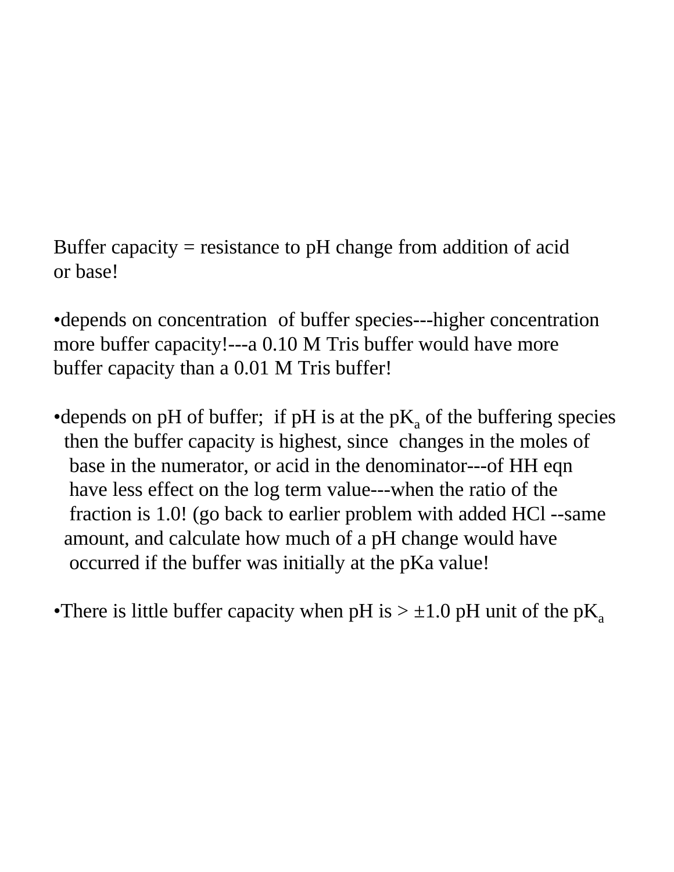Buffer capacity = resistance to pH change from addition of acid or base!

•depends on concentration of buffer species---higher concentration more buffer capacity!---a 0.10 M Tris buffer would have more buffer capacity than a 0.01 M Tris buffer!

•depends on pH of buffer; if pH is at the  $pK_a$  of the buffering species then the buffer capacity is highest, since changes in the moles of base in the numerator, or acid in the denominator---of HH eqn have less effect on the log term value---when the ratio of the fraction is 1.0! (go back to earlier problem with added HCl --same amount, and calculate how much of a pH change would have occurred if the buffer was initially at the pKa value!

•There is little buffer capacity when pH is  $> \pm 1.0$  pH unit of the pK<sub>a</sub>